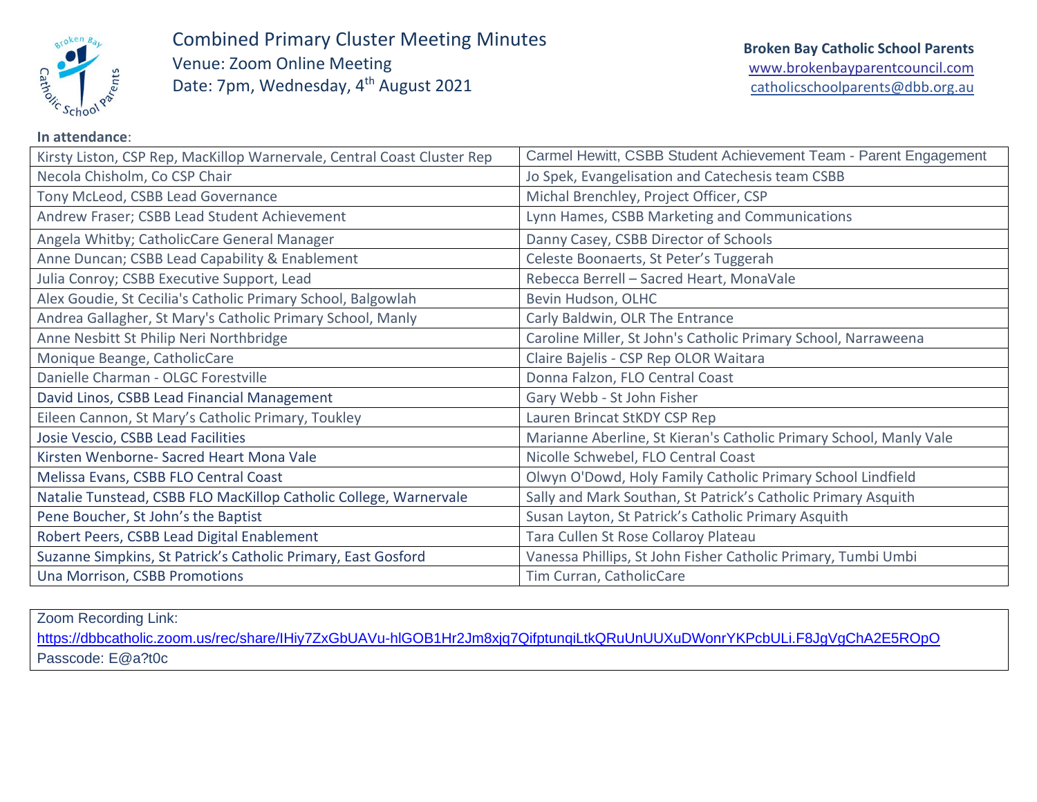

Combined Primary Cluster Meeting Minutes Venue: Zoom Online Meeting Date: 7pm, Wednesday, 4<sup>th</sup> August 2021

| Kirsty Liston, CSP Rep, MacKillop Warnervale, Central Coast Cluster Rep | Carmel Hewitt, CSBB Student Achievement Team - Parent Engagement   |
|-------------------------------------------------------------------------|--------------------------------------------------------------------|
| Necola Chisholm, Co CSP Chair                                           | Jo Spek, Evangelisation and Catechesis team CSBB                   |
| Tony McLeod, CSBB Lead Governance                                       | Michal Brenchley, Project Officer, CSP                             |
| Andrew Fraser; CSBB Lead Student Achievement                            | Lynn Hames, CSBB Marketing and Communications                      |
| Angela Whitby; CatholicCare General Manager                             | Danny Casey, CSBB Director of Schools                              |
| Anne Duncan; CSBB Lead Capability & Enablement                          | Celeste Boonaerts, St Peter's Tuggerah                             |
| Julia Conroy; CSBB Executive Support, Lead                              | Rebecca Berrell - Sacred Heart, MonaVale                           |
| Alex Goudie, St Cecilia's Catholic Primary School, Balgowlah            | Bevin Hudson, OLHC                                                 |
| Andrea Gallagher, St Mary's Catholic Primary School, Manly              | Carly Baldwin, OLR The Entrance                                    |
| Anne Nesbitt St Philip Neri Northbridge                                 | Caroline Miller, St John's Catholic Primary School, Narraweena     |
| Monique Beange, CatholicCare                                            | Claire Bajelis - CSP Rep OLOR Waitara                              |
| Danielle Charman - OLGC Forestville                                     | Donna Falzon, FLO Central Coast                                    |
| David Linos, CSBB Lead Financial Management                             | Gary Webb - St John Fisher                                         |
| Eileen Cannon, St Mary's Catholic Primary, Toukley                      | Lauren Brincat StKDY CSP Rep                                       |
| Josie Vescio, CSBB Lead Facilities                                      | Marianne Aberline, St Kieran's Catholic Primary School, Manly Vale |
| Kirsten Wenborne- Sacred Heart Mona Vale                                | Nicolle Schwebel, FLO Central Coast                                |
| Melissa Evans, CSBB FLO Central Coast                                   | Olwyn O'Dowd, Holy Family Catholic Primary School Lindfield        |
| Natalie Tunstead, CSBB FLO MacKillop Catholic College, Warnervale       | Sally and Mark Southan, St Patrick's Catholic Primary Asquith      |
| Pene Boucher, St John's the Baptist                                     | Susan Layton, St Patrick's Catholic Primary Asquith                |
| Robert Peers, CSBB Lead Digital Enablement                              | Tara Cullen St Rose Collaroy Plateau                               |
| Suzanne Simpkins, St Patrick's Catholic Primary, East Gosford           | Vanessa Phillips, St John Fisher Catholic Primary, Tumbi Umbi      |
| Una Morrison, CSBB Promotions                                           | Tim Curran, CatholicCare                                           |

Zoom Recording Link: <https://dbbcatholic.zoom.us/rec/share/IHiy7ZxGbUAVu-hlGOB1Hr2Jm8xjq7QifptunqiLtkQRuUnUUXuDWonrYKPcbULi.F8JgVgChA2E5ROpO> Passcode: E@a?t0c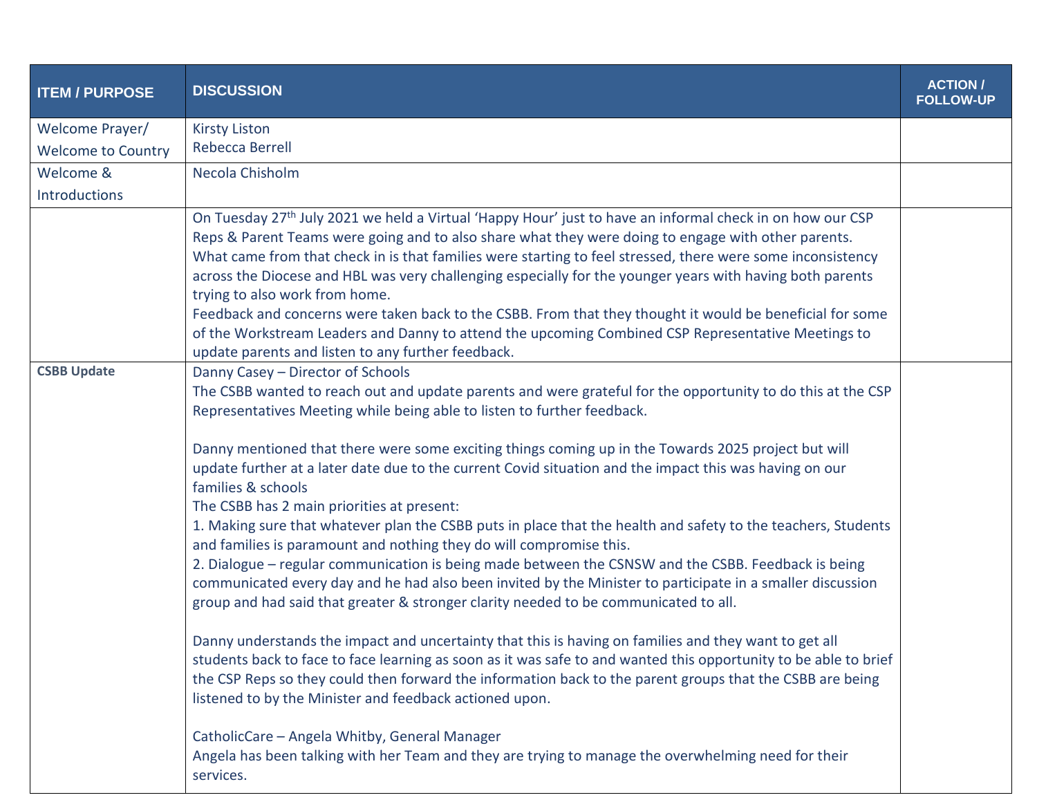| <b>ITEM / PURPOSE</b>     | <b>DISCUSSION</b>                                                                                                                                                                                                                                                                                                                                                                                                                                                                                                                                                                                                                                                                                             | <b>ACTION/</b><br><b>FOLLOW-UP</b> |
|---------------------------|---------------------------------------------------------------------------------------------------------------------------------------------------------------------------------------------------------------------------------------------------------------------------------------------------------------------------------------------------------------------------------------------------------------------------------------------------------------------------------------------------------------------------------------------------------------------------------------------------------------------------------------------------------------------------------------------------------------|------------------------------------|
| Welcome Prayer/           | <b>Kirsty Liston</b>                                                                                                                                                                                                                                                                                                                                                                                                                                                                                                                                                                                                                                                                                          |                                    |
| <b>Welcome to Country</b> | Rebecca Berrell                                                                                                                                                                                                                                                                                                                                                                                                                                                                                                                                                                                                                                                                                               |                                    |
| Welcome &                 | Necola Chisholm                                                                                                                                                                                                                                                                                                                                                                                                                                                                                                                                                                                                                                                                                               |                                    |
| <b>Introductions</b>      |                                                                                                                                                                                                                                                                                                                                                                                                                                                                                                                                                                                                                                                                                                               |                                    |
|                           | On Tuesday 27 <sup>th</sup> July 2021 we held a Virtual 'Happy Hour' just to have an informal check in on how our CSP<br>Reps & Parent Teams were going and to also share what they were doing to engage with other parents.<br>What came from that check in is that families were starting to feel stressed, there were some inconsistency<br>across the Diocese and HBL was very challenging especially for the younger years with having both parents<br>trying to also work from home.<br>Feedback and concerns were taken back to the CSBB. From that they thought it would be beneficial for some<br>of the Workstream Leaders and Danny to attend the upcoming Combined CSP Representative Meetings to |                                    |
|                           | update parents and listen to any further feedback.                                                                                                                                                                                                                                                                                                                                                                                                                                                                                                                                                                                                                                                            |                                    |
| <b>CSBB Update</b>        | Danny Casey - Director of Schools<br>The CSBB wanted to reach out and update parents and were grateful for the opportunity to do this at the CSP<br>Representatives Meeting while being able to listen to further feedback.                                                                                                                                                                                                                                                                                                                                                                                                                                                                                   |                                    |
|                           | Danny mentioned that there were some exciting things coming up in the Towards 2025 project but will<br>update further at a later date due to the current Covid situation and the impact this was having on our<br>families & schools<br>The CSBB has 2 main priorities at present:                                                                                                                                                                                                                                                                                                                                                                                                                            |                                    |
|                           | 1. Making sure that whatever plan the CSBB puts in place that the health and safety to the teachers, Students<br>and families is paramount and nothing they do will compromise this.<br>2. Dialogue – regular communication is being made between the CSNSW and the CSBB. Feedback is being<br>communicated every day and he had also been invited by the Minister to participate in a smaller discussion<br>group and had said that greater & stronger clarity needed to be communicated to all.                                                                                                                                                                                                             |                                    |
|                           | Danny understands the impact and uncertainty that this is having on families and they want to get all<br>students back to face to face learning as soon as it was safe to and wanted this opportunity to be able to brief<br>the CSP Reps so they could then forward the information back to the parent groups that the CSBB are being<br>listened to by the Minister and feedback actioned upon.                                                                                                                                                                                                                                                                                                             |                                    |
|                           | CatholicCare - Angela Whitby, General Manager<br>Angela has been talking with her Team and they are trying to manage the overwhelming need for their<br>services.                                                                                                                                                                                                                                                                                                                                                                                                                                                                                                                                             |                                    |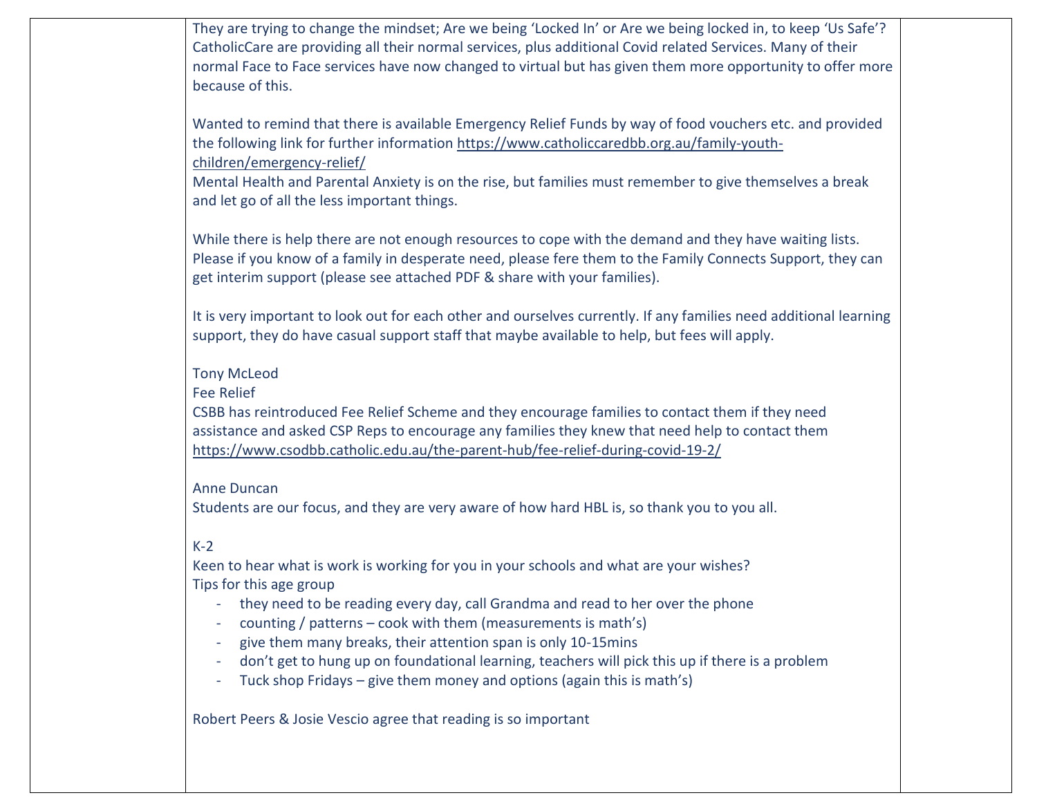| They are trying to change the mindset; Are we being 'Locked In' or Are we being locked in, to keep 'Us Safe'?<br>CatholicCare are providing all their normal services, plus additional Covid related Services. Many of their<br>normal Face to Face services have now changed to virtual but has given them more opportunity to offer more<br>because of this.                                                                                                                                                                  |
|---------------------------------------------------------------------------------------------------------------------------------------------------------------------------------------------------------------------------------------------------------------------------------------------------------------------------------------------------------------------------------------------------------------------------------------------------------------------------------------------------------------------------------|
| Wanted to remind that there is available Emergency Relief Funds by way of food vouchers etc. and provided<br>the following link for further information https://www.catholiccaredbb.org.au/family-youth-<br>children/emergency-relief/<br>Mental Health and Parental Anxiety is on the rise, but families must remember to give themselves a break<br>and let go of all the less important things.                                                                                                                              |
| While there is help there are not enough resources to cope with the demand and they have waiting lists.<br>Please if you know of a family in desperate need, please fere them to the Family Connects Support, they can<br>get interim support (please see attached PDF & share with your families).                                                                                                                                                                                                                             |
| It is very important to look out for each other and ourselves currently. If any families need additional learning<br>support, they do have casual support staff that maybe available to help, but fees will apply.                                                                                                                                                                                                                                                                                                              |
| <b>Tony McLeod</b><br><b>Fee Relief</b><br>CSBB has reintroduced Fee Relief Scheme and they encourage families to contact them if they need<br>assistance and asked CSP Reps to encourage any families they knew that need help to contact them<br>https://www.csodbb.catholic.edu.au/the-parent-hub/fee-relief-during-covid-19-2/                                                                                                                                                                                              |
| <b>Anne Duncan</b><br>Students are our focus, and they are very aware of how hard HBL is, so thank you to you all.                                                                                                                                                                                                                                                                                                                                                                                                              |
| $K-2$<br>Keen to hear what is work is working for you in your schools and what are your wishes?<br>Tips for this age group<br>- they need to be reading every day, call Grandma and read to her over the phone<br>counting / patterns $-$ cook with them (measurements is math's)<br>give them many breaks, their attention span is only 10-15mins<br>don't get to hung up on foundational learning, teachers will pick this up if there is a problem<br>Tuck shop Fridays – give them money and options (again this is math's) |
| Robert Peers & Josie Vescio agree that reading is so important                                                                                                                                                                                                                                                                                                                                                                                                                                                                  |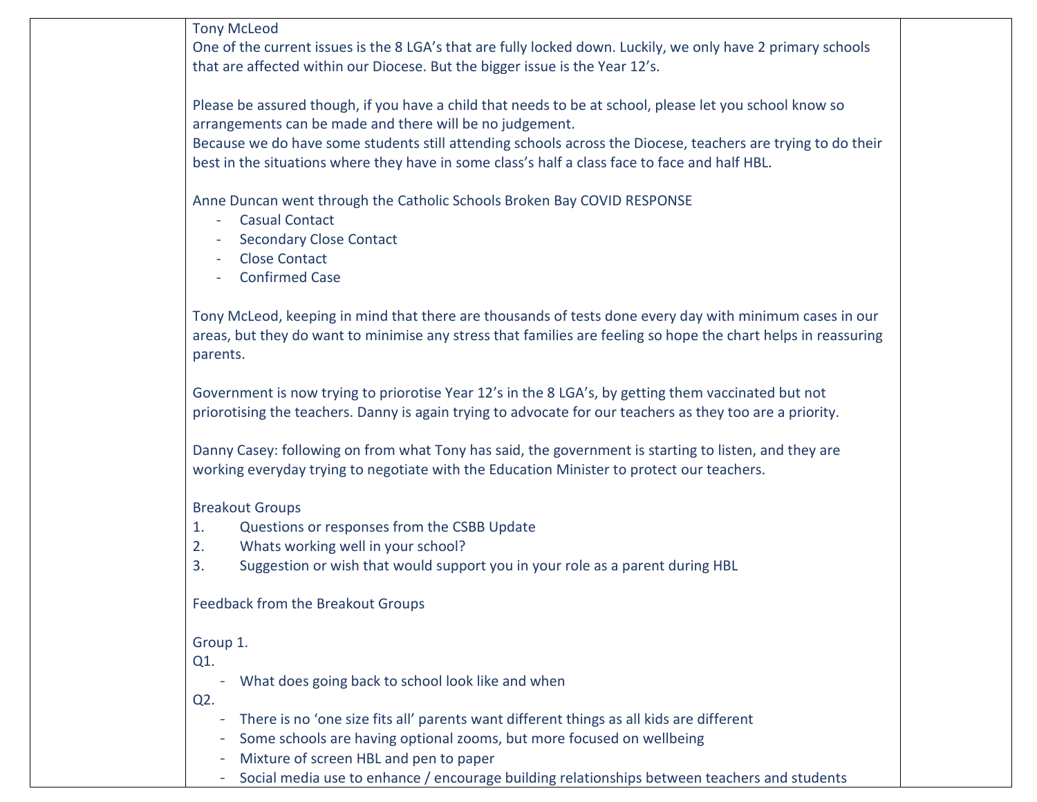Tony McLeod

One of the current issues is the 8 LGA's that are fully locked down. Luckily, we only have 2 primary schools that are affected within our Diocese. But the bigger issue is the Year 12's.

Please be assured though, if you have a child that needs to be at school, please let you school know so arrangements can be made and there will be no judgement.

Because we do have some students still attending schools across the Diocese, teachers are trying to do their best in the situations where they have in some class's half a class face to face and half HBL.

Anne Duncan went through the Catholic Schools Broken Bay COVID RESPONSE

- Casual Contact
- Secondary Close Contact
- Close Contact
- Confirmed Case

Tony McLeod, keeping in mind that there are thousands of tests done every day with minimum cases in our areas, but they do want to minimise any stress that families are feeling so hope the chart helps in reassuring parents.

Government is now trying to priorotise Year 12's in the 8 LGA's, by getting them vaccinated but not priorotising the teachers. Danny is again trying to advocate for our teachers as they too are a priority.

Danny Casey: following on from what Tony has said, the government is starting to listen, and they are working everyday trying to negotiate with the Education Minister to protect our teachers.

Breakout Groups

- 1. Questions or responses from the CSBB Update
- 2. Whats working well in your school?
- 3. Suggestion or wish that would support you in your role as a parent during HBL

Feedback from the Breakout Groups

Group 1.

Q1.

- What does going back to school look like and when

Q2.

- There is no 'one size fits all' parents want different things as all kids are different
- Some schools are having optional zooms, but more focused on wellbeing
- Mixture of screen HBL and pen to paper
- Social media use to enhance / encourage building relationships between teachers and students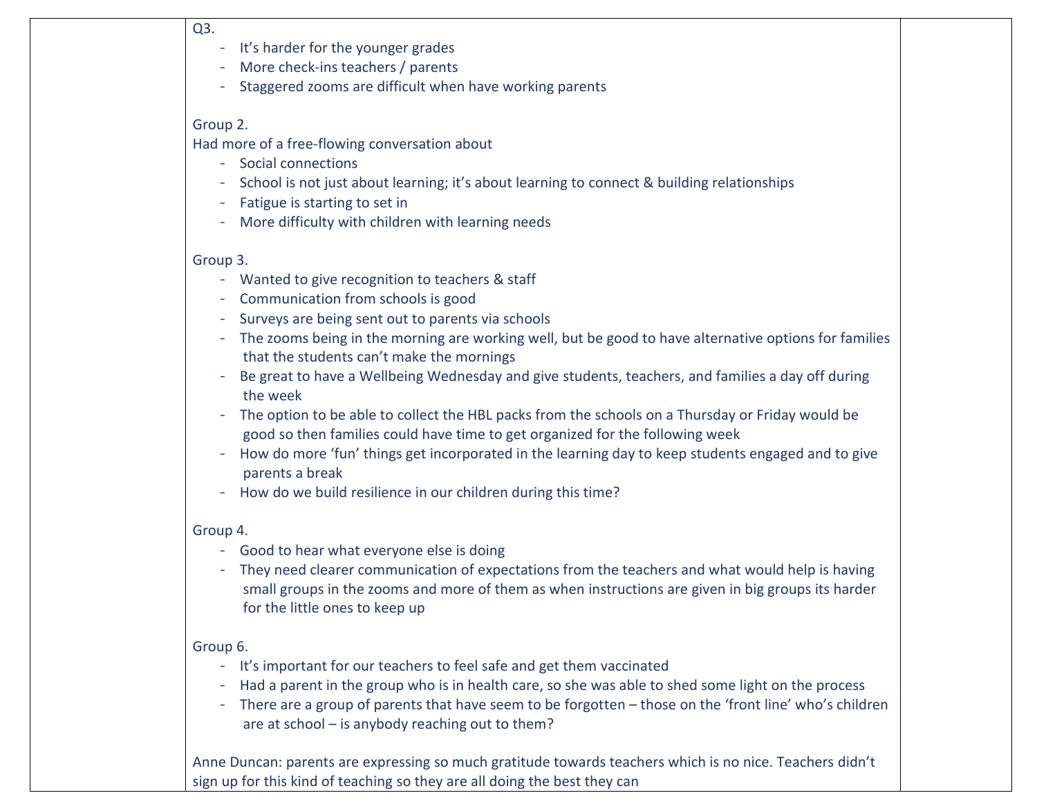#### Q3.

- It's harder for the younger grades
- More check-ins teachers / parents
- Staggered zooms are difficult when have working parents

## Group 2.

Had more of a free-flowing conversation about

- Social connections
- School is not just about learning; it's about learning to connect & building relationships
- Fatigue is starting to set in
- More difficulty with children with learning needs

# Group 3.

- Wanted to give recognition to teachers & staff
- Communication from schools is good
- Surveys are being sent out to parents via schools
- The zooms being in the morning are working well, but be good to have alternative options for families that the students can't make the mornings
- Be great to have a Wellbeing Wednesday and give students, teachers, and families a day off during the week
- The option to be able to collect the HBL packs from the schools on a Thursday or Friday would be good so then families could have time to get organized for the following week
- How do more 'fun' things get incorporated in the learning day to keep students engaged and to give parents a break
- How do we build resilience in our children during this time?

## Group 4.

- Good to hear what everyone else is doing
- They need clearer communication of expectations from the teachers and what would help is having small groups in the zooms and more of them as when instructions are given in big groups its harder for the little ones to keep up

# Group 6.

- It's important for our teachers to feel safe and get them vaccinated
- Had a parent in the group who is in health care, so she was able to shed some light on the process
- There are a group of parents that have seem to be forgotten those on the 'front line' who's children are at school – is anybody reaching out to them?

Anne Duncan: parents are expressing so much gratitude towards teachers which is no nice. Teachers didn't sign up for this kind of teaching so they are all doing the best they can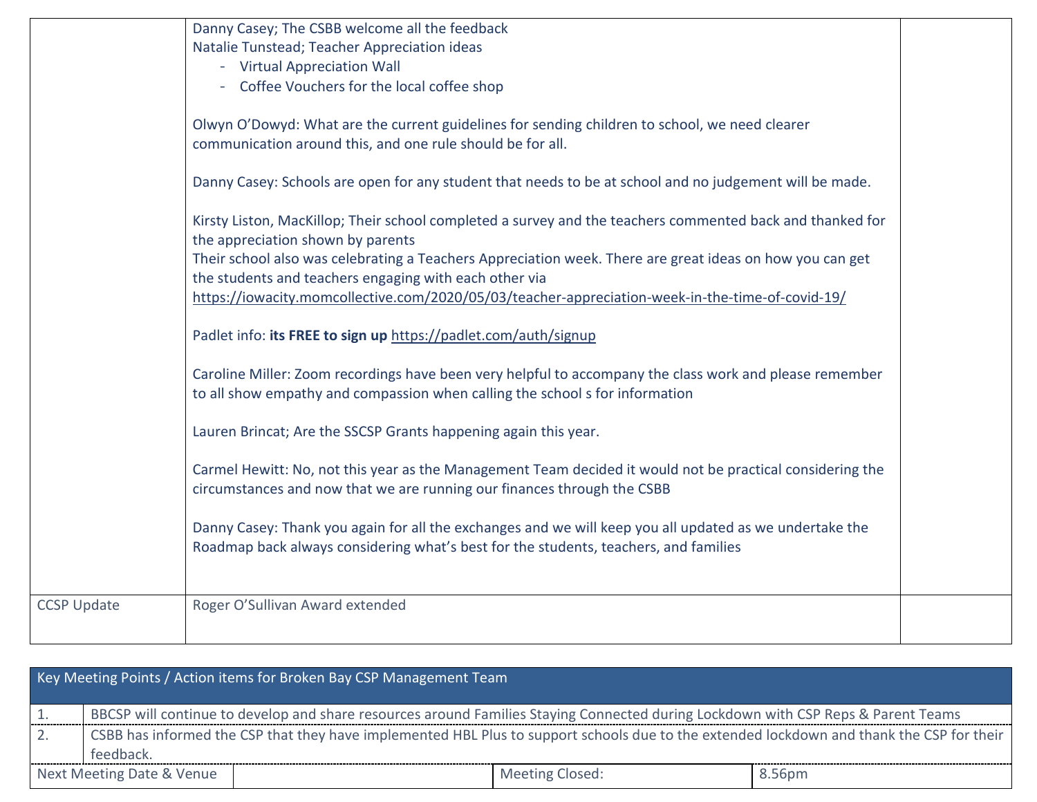|                    | Danny Casey; The CSBB welcome all the feedback                                                            |  |
|--------------------|-----------------------------------------------------------------------------------------------------------|--|
|                    | Natalie Tunstead; Teacher Appreciation ideas                                                              |  |
|                    | - Virtual Appreciation Wall                                                                               |  |
|                    | - Coffee Vouchers for the local coffee shop                                                               |  |
|                    |                                                                                                           |  |
|                    | Olwyn O'Dowyd: What are the current guidelines for sending children to school, we need clearer            |  |
|                    | communication around this, and one rule should be for all.                                                |  |
|                    |                                                                                                           |  |
|                    | Danny Casey: Schools are open for any student that needs to be at school and no judgement will be made.   |  |
|                    |                                                                                                           |  |
|                    | Kirsty Liston, MacKillop; Their school completed a survey and the teachers commented back and thanked for |  |
|                    | the appreciation shown by parents                                                                         |  |
|                    | Their school also was celebrating a Teachers Appreciation week. There are great ideas on how you can get  |  |
|                    | the students and teachers engaging with each other via                                                    |  |
|                    | https://iowacity.momcollective.com/2020/05/03/teacher-appreciation-week-in-the-time-of-covid-19/          |  |
|                    |                                                                                                           |  |
|                    | Padlet info: its FREE to sign up https://padlet.com/auth/signup                                           |  |
|                    |                                                                                                           |  |
|                    | Caroline Miller: Zoom recordings have been very helpful to accompany the class work and please remember   |  |
|                    | to all show empathy and compassion when calling the school s for information                              |  |
|                    |                                                                                                           |  |
|                    | Lauren Brincat; Are the SSCSP Grants happening again this year.                                           |  |
|                    |                                                                                                           |  |
|                    | Carmel Hewitt: No, not this year as the Management Team decided it would not be practical considering the |  |
|                    | circumstances and now that we are running our finances through the CSBB                                   |  |
|                    |                                                                                                           |  |
|                    | Danny Casey: Thank you again for all the exchanges and we will keep you all updated as we undertake the   |  |
|                    | Roadmap back always considering what's best for the students, teachers, and families                      |  |
|                    |                                                                                                           |  |
| <b>CCSP Update</b> | Roger O'Sullivan Award extended                                                                           |  |
|                    |                                                                                                           |  |
|                    |                                                                                                           |  |

| Key Meeting Points / Action items for Broken Bay CSP Management Team |           |                                                                                                                                           |                        |        |
|----------------------------------------------------------------------|-----------|-------------------------------------------------------------------------------------------------------------------------------------------|------------------------|--------|
|                                                                      |           | BBCSP will continue to develop and share resources around Families Staying Connected during Lockdown with CSP Reps & Parent Teams         |                        |        |
|                                                                      |           | CSBB has informed the CSP that they have implemented HBL Plus to support schools due to the extended lockdown and thank the CSP for their |                        |        |
|                                                                      | feedback. |                                                                                                                                           |                        |        |
| Next Meeting Date & Venue                                            |           |                                                                                                                                           | <b>Meeting Closed:</b> | 8.56pm |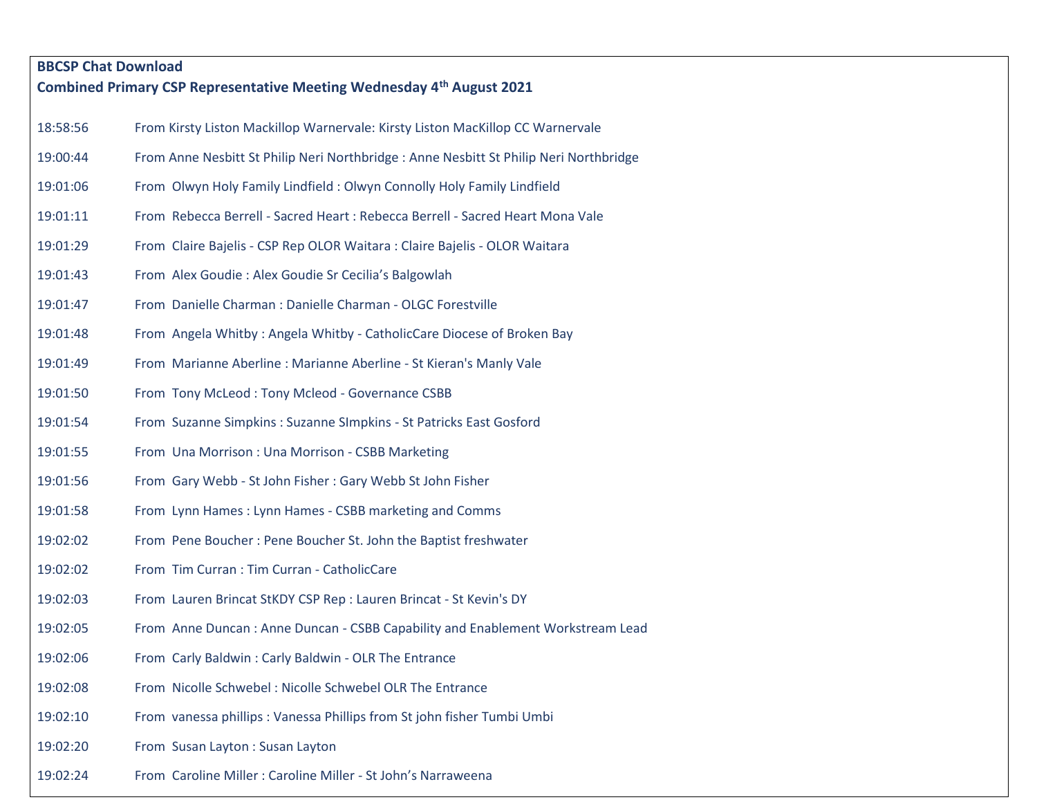| <b>BBCSP Chat Download</b> |                                                                                        |  |
|----------------------------|----------------------------------------------------------------------------------------|--|
|                            | Combined Primary CSP Representative Meeting Wednesday 4th August 2021                  |  |
| 18:58:56                   | From Kirsty Liston Mackillop Warnervale: Kirsty Liston MacKillop CC Warnervale         |  |
| 19:00:44                   | From Anne Nesbitt St Philip Neri Northbridge : Anne Nesbitt St Philip Neri Northbridge |  |
| 19:01:06                   | From Olwyn Holy Family Lindfield: Olwyn Connolly Holy Family Lindfield                 |  |
| 19:01:11                   | From Rebecca Berrell - Sacred Heart : Rebecca Berrell - Sacred Heart Mona Vale         |  |
| 19:01:29                   | From Claire Bajelis - CSP Rep OLOR Waitara : Claire Bajelis - OLOR Waitara             |  |
| 19:01:43                   | From Alex Goudie: Alex Goudie Sr Cecilia's Balgowlah                                   |  |
| 19:01:47                   | From Danielle Charman : Danielle Charman - OLGC Forestville                            |  |
| 19:01:48                   | From Angela Whitby: Angela Whitby - CatholicCare Diocese of Broken Bay                 |  |
| 19:01:49                   | From Marianne Aberline : Marianne Aberline - St Kieran's Manly Vale                    |  |
| 19:01:50                   | From Tony McLeod: Tony Mcleod - Governance CSBB                                        |  |
| 19:01:54                   | From Suzanne Simpkins: Suzanne SImpkins - St Patricks East Gosford                     |  |
| 19:01:55                   | From Una Morrison: Una Morrison - CSBB Marketing                                       |  |
| 19:01:56                   | From Gary Webb - St John Fisher: Gary Webb St John Fisher                              |  |
| 19:01:58                   | From Lynn Hames: Lynn Hames - CSBB marketing and Comms                                 |  |
| 19:02:02                   | From Pene Boucher: Pene Boucher St. John the Baptist freshwater                        |  |
| 19:02:02                   | From Tim Curran : Tim Curran - CatholicCare                                            |  |
| 19:02:03                   | From Lauren Brincat StKDY CSP Rep : Lauren Brincat - St Kevin's DY                     |  |
| 19:02:05                   | From Anne Duncan : Anne Duncan - CSBB Capability and Enablement Workstream Lead        |  |
| 19:02:06                   | From Carly Baldwin: Carly Baldwin - OLR The Entrance                                   |  |
| 19:02:08                   | From Nicolle Schwebel: Nicolle Schwebel OLR The Entrance                               |  |
| 19:02:10                   | From vanessa phillips: Vanessa Phillips from St john fisher Tumbi Umbi                 |  |
| 19:02:20                   | From Susan Layton: Susan Layton                                                        |  |
| 19:02:24                   | From Caroline Miller : Caroline Miller - St John's Narraweena                          |  |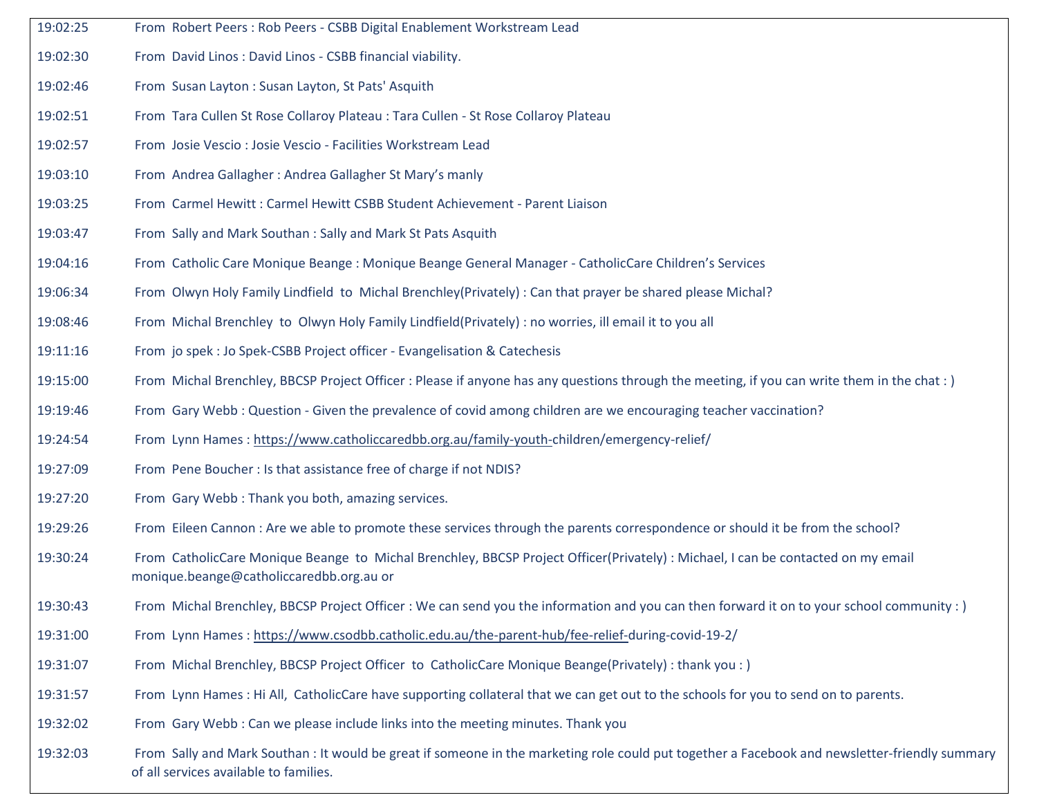- 19:02:25 From Robert Peers : Rob Peers CSBB Digital Enablement Workstream Lead
- 19:02:30 From David Linos : David Linos CSBB financial viability.
- 19:02:46 From Susan Layton : Susan Layton, St Pats' Asquith
- 19:02:51 From Tara Cullen St Rose Collaroy Plateau : Tara Cullen St Rose Collaroy Plateau
- 19:02:57 From Josie Vescio : Josie Vescio Facilities Workstream Lead
- 19:03:10 From Andrea Gallagher : Andrea Gallagher St Mary's manly
- 19:03:25 From Carmel Hewitt : Carmel Hewitt CSBB Student Achievement Parent Liaison
- 19:03:47 From Sally and Mark Southan : Sally and Mark St Pats Asquith
- 19:04:16 From Catholic Care Monique Beange : Monique Beange General Manager CatholicCare Children's Services
- 19:06:34 From Olwyn Holy Family Lindfield to Michal Brenchley(Privately) : Can that prayer be shared please Michal?
- 19:08:46 From Michal Brenchley to Olwyn Holy Family Lindfield(Privately) : no worries, ill email it to you all
- 19:11:16 From jo spek : Jo Spek-CSBB Project officer Evangelisation & Catechesis
- 19:15:00 From Michal Brenchley, BBCSP Project Officer : Please if anyone has any questions through the meeting, if you can write them in the chat : )
- 19:19:46 From Gary Webb : Question Given the prevalence of covid among children are we encouraging teacher vaccination?
- 19:24:54 From Lynn Hames [: https://www.catholiccaredbb.org.au/family-youth-c](https://www.catholiccaredbb.org.au/family-youth-)hildren/emergency-relief/
- 19:27:09 From Pene Boucher : Is that assistance free of charge if not NDIS?
- 19:27:20 From Gary Webb : Thank you both, amazing services.
- 19:29:26 From Eileen Cannon : Are we able to promote these services through the parents correspondence or should it be from the school?
- 19:30:24 From CatholicCare Monique Beange to Michal Brenchley, BBCSP Project Officer(Privately) : Michael, I can be contacted on my email monique.beange@catholiccaredbb.org.au or
- 19:30:43 From Michal Brenchley, BBCSP Project Officer : We can send you the information and you can then forward it on to your school community : )
- 19:31:00 From Lynn Hames [: https://www.csodbb.catholic.edu.au/the-parent-hub/fee-relief-d](https://www.csodbb.catholic.edu.au/the-parent-hub/fee-relief-)uring-covid-19-2/
- 19:31:07 From Michal Brenchley, BBCSP Project Officer to CatholicCare Monique Beange(Privately) : thank you : )
- 19:31:57 From Lynn Hames : Hi All, CatholicCare have supporting collateral that we can get out to the schools for you to send on to parents.
- 19:32:02 From Gary Webb : Can we please include links into the meeting minutes. Thank you
- 19:32:03 From Sally and Mark Southan : It would be great if someone in the marketing role could put together a Facebook and newsletter-friendly summary of all services available to families.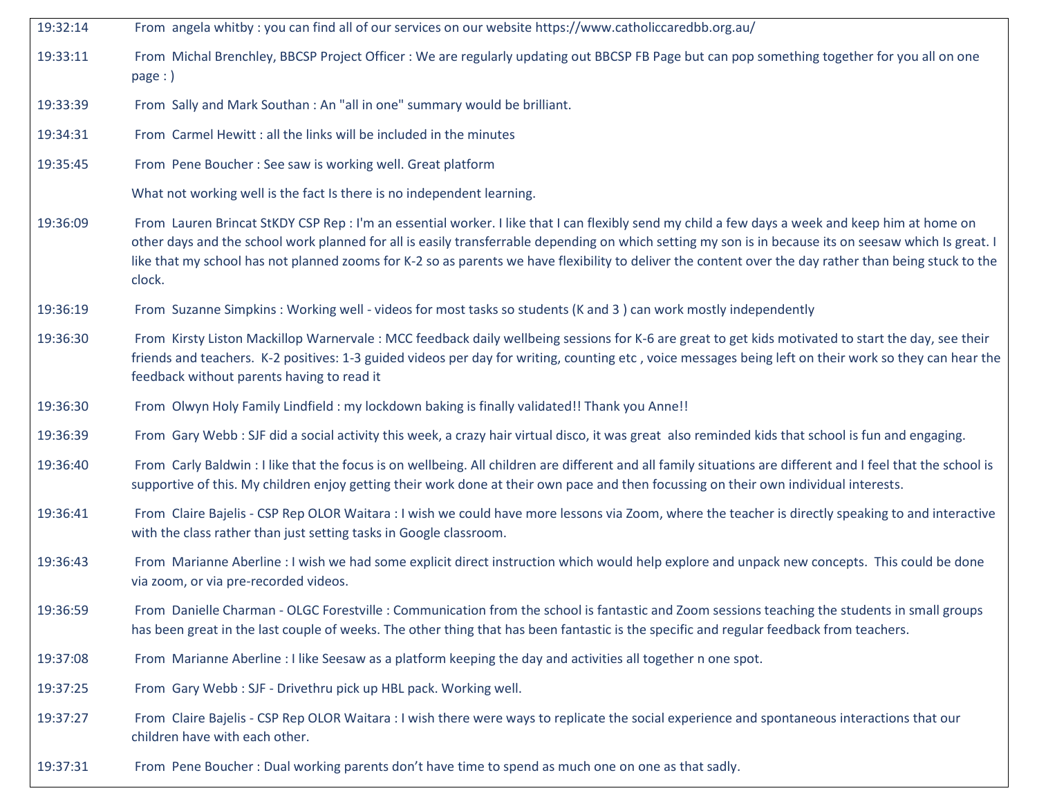- 19:32:14 From angela whitby : you can find all of our services on our website https://www.catholiccaredbb.org.au/
- 19:33:11 From Michal Brenchley, BBCSP Project Officer : We are regularly updating out BBCSP FB Page but can pop something together for you all on one page : )
- 19:33:39 From Sally and Mark Southan : An "all in one" summary would be brilliant.
- 19:34:31 From Carmel Hewitt : all the links will be included in the minutes
- 19:35:45 From Pene Boucher : See saw is working well. Great platform

What not working well is the fact Is there is no independent learning.

- 19:36:09 From Lauren Brincat StKDY CSP Rep : I'm an essential worker. I like that I can flexibly send my child a few days a week and keep him at home on other days and the school work planned for all is easily transferrable depending on which setting my son is in because its on seesaw which Is great. I like that my school has not planned zooms for K-2 so as parents we have flexibility to deliver the content over the day rather than being stuck to the clock.
- 19:36:19 From Suzanne Simpkins : Working well videos for most tasks so students (K and 3 ) can work mostly independently
- 19:36:30 From Kirsty Liston Mackillop Warnervale : MCC feedback daily wellbeing sessions for K-6 are great to get kids motivated to start the day, see their friends and teachers. K-2 positives: 1-3 guided videos per day for writing, counting etc , voice messages being left on their work so they can hear the feedback without parents having to read it
- 19:36:30 From Olwyn Holy Family Lindfield : my lockdown baking is finally validated!! Thank you Anne!!
- 19:36:39 From Gary Webb : SJF did a social activity this week, a crazy hair virtual disco, it was great also reminded kids that school is fun and engaging.
- 19:36:40 From Carly Baldwin : I like that the focus is on wellbeing. All children are different and all family situations are different and I feel that the school is supportive of this. My children enjoy getting their work done at their own pace and then focussing on their own individual interests.
- 19:36:41 From Claire Bajelis CSP Rep OLOR Waitara : I wish we could have more lessons via Zoom, where the teacher is directly speaking to and interactive with the class rather than just setting tasks in Google classroom.
- 19:36:43 From Marianne Aberline : I wish we had some explicit direct instruction which would help explore and unpack new concepts. This could be done via zoom, or via pre-recorded videos.
- 19:36:59 From Danielle Charman OLGC Forestville : Communication from the school is fantastic and Zoom sessions teaching the students in small groups has been great in the last couple of weeks. The other thing that has been fantastic is the specific and regular feedback from teachers.
- 19:37:08 From Marianne Aberline : I like Seesaw as a platform keeping the day and activities all together n one spot.
- 19:37:25 From Gary Webb : SJF Drivethru pick up HBL pack. Working well.
- 19:37:27 From Claire Bajelis CSP Rep OLOR Waitara : I wish there were ways to replicate the social experience and spontaneous interactions that our children have with each other.
- 19:37:31 From Pene Boucher : Dual working parents don't have time to spend as much one on one as that sadly.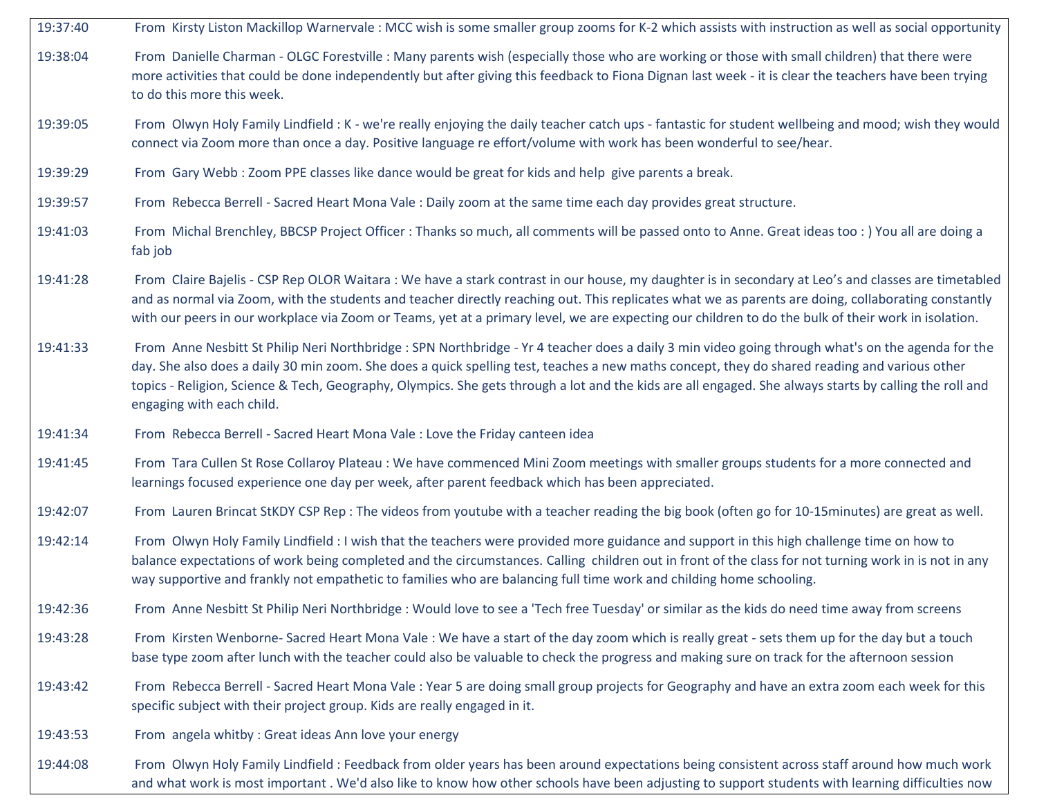- 19:37:40 From Kirsty Liston Mackillop Warnervale : MCC wish is some smaller group zooms for K-2 which assists with instruction as well as social opportunity 19:38:04 From Danielle Charman - OLGC Forestville : Many parents wish (especially those who are working or those with small children) that there were more activities that could be done independently but after giving this feedback to Fiona Dignan last week - it is clear the teachers have been trying to do this more this week. 19:39:05 From Olwyn Holy Family Lindfield : K - we're really enjoying the daily teacher catch ups - fantastic for student wellbeing and mood; wish they would connect via Zoom more than once a day. Positive language re effort/volume with work has been wonderful to see/hear. 19:39:29 From Gary Webb : Zoom PPE classes like dance would be great for kids and help give parents a break. 19:39:57 From Rebecca Berrell - Sacred Heart Mona Vale : Daily zoom at the same time each day provides great structure. 19:41:03 From Michal Brenchley, BBCSP Project Officer : Thanks so much, all comments will be passed onto to Anne. Great ideas too : ) You all are doing a fab job 19:41:28 From Claire Bajelis - CSP Rep OLOR Waitara : We have a stark contrast in our house, my daughter is in secondary at Leo's and classes are timetabled and as normal via Zoom, with the students and teacher directly reaching out. This replicates what we as parents are doing, collaborating constantly with our peers in our workplace via Zoom or Teams, yet at a primary level, we are expecting our children to do the bulk of their work in isolation. 19:41:33 From Anne Nesbitt St Philip Neri Northbridge : SPN Northbridge - Yr 4 teacher does a daily 3 min video going through what's on the agenda for the day. She also does a daily 30 min zoom. She does a quick spelling test, teaches a new maths concept, they do shared reading and various other topics - Religion, Science & Tech, Geography, Olympics. She gets through a lot and the kids are all engaged. She always starts by calling the roll and engaging with each child. 19:41:34 From Rebecca Berrell - Sacred Heart Mona Vale : Love the Friday canteen idea 19:41:45 From Tara Cullen St Rose Collaroy Plateau : We have commenced Mini Zoom meetings with smaller groups students for a more connected and learnings focused experience one day per week, after parent feedback which has been appreciated. 19:42:07 From Lauren Brincat StKDY CSP Rep : The videos from youtube with a teacher reading the big book (often go for 10-15minutes) are great as well. 19:42:14 From Olwyn Holy Family Lindfield : I wish that the teachers were provided more guidance and support in this high challenge time on how to balance expectations of work being completed and the circumstances. Calling children out in front of the class for not turning work in is not in any way supportive and frankly not empathetic to families who are balancing full time work and childing home schooling. 19:42:36 From Anne Nesbitt St Philip Neri Northbridge : Would love to see a 'Tech free Tuesday' or similar as the kids do need time away from screens 19:43:28 From Kirsten Wenborne- Sacred Heart Mona Vale : We have a start of the day zoom which is really great - sets them up for the day but a touch base type zoom after lunch with the teacher could also be valuable to check the progress and making sure on track for the afternoon session 19:43:42 From Rebecca Berrell - Sacred Heart Mona Vale : Year 5 are doing small group projects for Geography and have an extra zoom each week for this specific subject with their project group. Kids are really engaged in it. 19:43:53 From angela whitby : Great ideas Ann love your energy
- 19:44:08 From Olwyn Holy Family Lindfield : Feedback from older years has been around expectations being consistent across staff around how much work and what work is most important . We'd also like to know how other schools have been adjusting to support students with learning difficulties now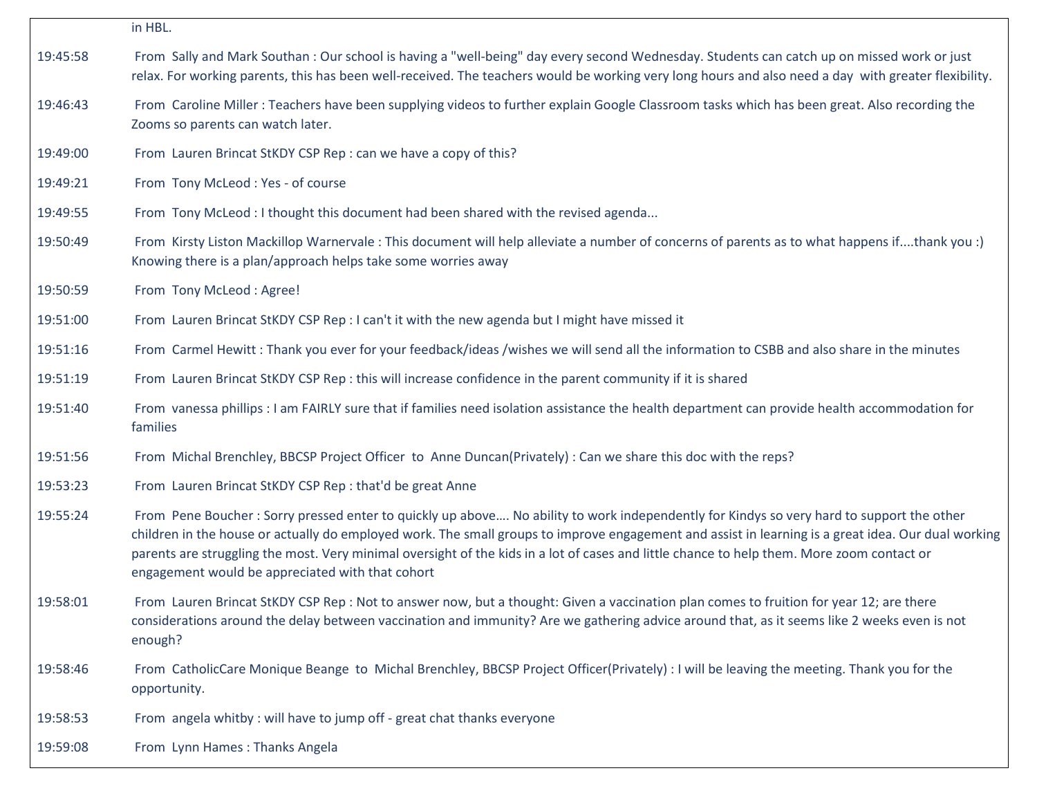|          | in HBL.                                                                                                                                                                                                                                                                                                                                                                                                                                                                                           |
|----------|---------------------------------------------------------------------------------------------------------------------------------------------------------------------------------------------------------------------------------------------------------------------------------------------------------------------------------------------------------------------------------------------------------------------------------------------------------------------------------------------------|
| 19:45:58 | From Sally and Mark Southan: Our school is having a "well-being" day every second Wednesday. Students can catch up on missed work or just<br>relax. For working parents, this has been well-received. The teachers would be working very long hours and also need a day with greater flexibility.                                                                                                                                                                                                 |
| 19:46:43 | From Caroline Miller: Teachers have been supplying videos to further explain Google Classroom tasks which has been great. Also recording the<br>Zooms so parents can watch later.                                                                                                                                                                                                                                                                                                                 |
| 19:49:00 | From Lauren Brincat StKDY CSP Rep : can we have a copy of this?                                                                                                                                                                                                                                                                                                                                                                                                                                   |
| 19:49:21 | From Tony McLeod: Yes - of course                                                                                                                                                                                                                                                                                                                                                                                                                                                                 |
| 19:49:55 | From Tony McLeod : I thought this document had been shared with the revised agenda                                                                                                                                                                                                                                                                                                                                                                                                                |
| 19:50:49 | From Kirsty Liston Mackillop Warnervale: This document will help alleviate a number of concerns of parents as to what happens ifthank you :)<br>Knowing there is a plan/approach helps take some worries away                                                                                                                                                                                                                                                                                     |
| 19:50:59 | From Tony McLeod : Agree!                                                                                                                                                                                                                                                                                                                                                                                                                                                                         |
| 19:51:00 | From Lauren Brincat StKDY CSP Rep : I can't it with the new agenda but I might have missed it                                                                                                                                                                                                                                                                                                                                                                                                     |
| 19:51:16 | From Carmel Hewitt: Thank you ever for your feedback/ideas /wishes we will send all the information to CSBB and also share in the minutes                                                                                                                                                                                                                                                                                                                                                         |
| 19:51:19 | From Lauren Brincat StKDY CSP Rep : this will increase confidence in the parent community if it is shared                                                                                                                                                                                                                                                                                                                                                                                         |
| 19:51:40 | From vanessa phillips : I am FAIRLY sure that if families need isolation assistance the health department can provide health accommodation for<br>families                                                                                                                                                                                                                                                                                                                                        |
| 19:51:56 | From Michal Brenchley, BBCSP Project Officer to Anne Duncan(Privately) : Can we share this doc with the reps?                                                                                                                                                                                                                                                                                                                                                                                     |
| 19:53:23 | From Lauren Brincat StKDY CSP Rep : that'd be great Anne                                                                                                                                                                                                                                                                                                                                                                                                                                          |
| 19:55:24 | From Pene Boucher: Sorry pressed enter to quickly up above No ability to work independently for Kindys so very hard to support the other<br>children in the house or actually do employed work. The small groups to improve engagement and assist in learning is a great idea. Our dual working<br>parents are struggling the most. Very minimal oversight of the kids in a lot of cases and little chance to help them. More zoom contact or<br>engagement would be appreciated with that cohort |
| 19:58:01 | From Lauren Brincat StKDY CSP Rep : Not to answer now, but a thought: Given a vaccination plan comes to fruition for year 12; are there<br>considerations around the delay between vaccination and immunity? Are we gathering advice around that, as it seems like 2 weeks even is not<br>enough?                                                                                                                                                                                                 |
| 19:58:46 | From CatholicCare Monique Beange to Michal Brenchley, BBCSP Project Officer(Privately) : I will be leaving the meeting. Thank you for the<br>opportunity.                                                                                                                                                                                                                                                                                                                                         |
| 19:58:53 | From angela whitby: will have to jump off - great chat thanks everyone                                                                                                                                                                                                                                                                                                                                                                                                                            |
| 19:59:08 | From Lynn Hames: Thanks Angela                                                                                                                                                                                                                                                                                                                                                                                                                                                                    |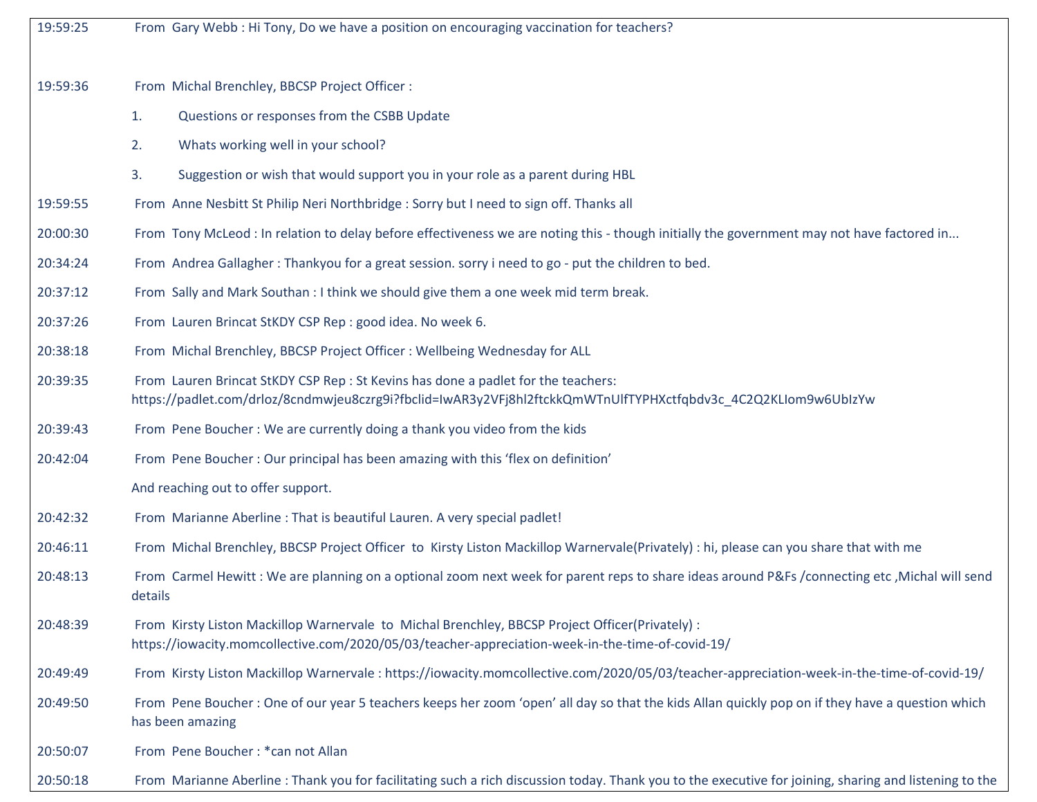| 19:59:25 | From Gary Webb: Hi Tony, Do we have a position on encouraging vaccination for teachers?                                                                                                             |
|----------|-----------------------------------------------------------------------------------------------------------------------------------------------------------------------------------------------------|
| 19:59:36 | From Michal Brenchley, BBCSP Project Officer :                                                                                                                                                      |
|          | 1.<br>Questions or responses from the CSBB Update                                                                                                                                                   |
|          | Whats working well in your school?<br>2.                                                                                                                                                            |
|          | 3.<br>Suggestion or wish that would support you in your role as a parent during HBL                                                                                                                 |
| 19:59:55 | From Anne Nesbitt St Philip Neri Northbridge : Sorry but I need to sign off. Thanks all                                                                                                             |
| 20:00:30 | From Tony McLeod: In relation to delay before effectiveness we are noting this - though initially the government may not have factored in                                                           |
| 20:34:24 | From Andrea Gallagher: Thankyou for a great session. sorry i need to go - put the children to bed.                                                                                                  |
| 20:37:12 | From Sally and Mark Southan : I think we should give them a one week mid term break.                                                                                                                |
| 20:37:26 | From Lauren Brincat StKDY CSP Rep : good idea. No week 6.                                                                                                                                           |
| 20:38:18 | From Michal Brenchley, BBCSP Project Officer: Wellbeing Wednesday for ALL                                                                                                                           |
| 20:39:35 | From Lauren Brincat StKDY CSP Rep : St Kevins has done a padlet for the teachers:<br>https://padlet.com/drloz/8cndmwjeu8czrg9i?fbclid=IwAR3y2VFj8hl2ftckkQmWTnUlfTYPHXctfqbdv3c_4C2Q2KLIom9w6UbIzYw |
| 20:39:43 | From Pene Boucher: We are currently doing a thank you video from the kids                                                                                                                           |
| 20:42:04 | From Pene Boucher: Our principal has been amazing with this 'flex on definition'                                                                                                                    |
|          | And reaching out to offer support.                                                                                                                                                                  |
| 20:42:32 | From Marianne Aberline : That is beautiful Lauren. A very special padlet!                                                                                                                           |
| 20:46:11 | From Michal Brenchley, BBCSP Project Officer to Kirsty Liston Mackillop Warnervale(Privately) : hi, please can you share that with me                                                               |
| 20:48:13 | From Carmel Hewitt: We are planning on a optional zoom next week for parent reps to share ideas around P&Fs /connecting etc ,Michal will send<br>details                                            |
| 20:48:39 | From Kirsty Liston Mackillop Warnervale to Michal Brenchley, BBCSP Project Officer(Privately) :<br>https://iowacity.momcollective.com/2020/05/03/teacher-appreciation-week-in-the-time-of-covid-19/ |
| 20:49:49 | From Kirsty Liston Mackillop Warnervale: https://iowacity.momcollective.com/2020/05/03/teacher-appreciation-week-in-the-time-of-covid-19/                                                           |
| 20:49:50 | From Pene Boucher: One of our year 5 teachers keeps her zoom 'open' all day so that the kids Allan quickly pop on if they have a question which<br>has been amazing                                 |
| 20:50:07 | From Pene Boucher: * can not Allan                                                                                                                                                                  |
| 20:50:18 | From Marianne Aberline: Thank you for facilitating such a rich discussion today. Thank you to the executive for joining, sharing and listening to the                                               |